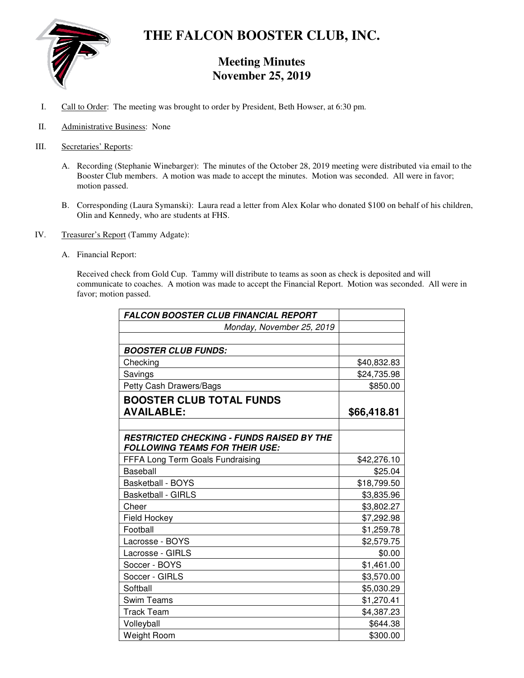

# **THE FALCON BOOSTER CLUB, INC.**

# **Meeting Minutes November 25, 2019**

- I. Call to Order: The meeting was brought to order by President, Beth Howser, at 6:30 pm.
- II. Administrative Business: None
- III. Secretaries' Reports:
	- A. Recording (Stephanie Winebarger): The minutes of the October 28, 2019 meeting were distributed via email to the Booster Club members. A motion was made to accept the minutes. Motion was seconded. All were in favor; motion passed.
	- B. Corresponding (Laura Symanski): Laura read a letter from Alex Kolar who donated \$100 on behalf of his children, Olin and Kennedy, who are students at FHS.
- IV. Treasurer's Report (Tammy Adgate):
	- A. Financial Report:

Received check from Gold Cup. Tammy will distribute to teams as soon as check is deposited and will communicate to coaches. A motion was made to accept the Financial Report. Motion was seconded. All were in favor; motion passed.

| <b>FALCON BOOSTER CLUB FINANCIAL REPORT</b>                                               |             |
|-------------------------------------------------------------------------------------------|-------------|
| Monday, November 25, 2019                                                                 |             |
|                                                                                           |             |
| <b>BOOSTER CLUB FUNDS:</b>                                                                |             |
| Checking                                                                                  | \$40,832.83 |
| Savings                                                                                   | \$24,735.98 |
| Petty Cash Drawers/Bags                                                                   | \$850.00    |
| <b>BOOSTER CLUB TOTAL FUNDS</b><br><b>AVAILABLE:</b>                                      | \$66,418.81 |
|                                                                                           |             |
| <b>RESTRICTED CHECKING - FUNDS RAISED BY THE</b><br><b>FOLLOWING TEAMS FOR THEIR USE:</b> |             |
| FFFA Long Term Goals Fundraising                                                          | \$42,276.10 |
| Baseball                                                                                  | \$25.04     |
| <b>Basketball - BOYS</b>                                                                  | \$18,799.50 |
| <b>Basketball - GIRLS</b>                                                                 | \$3,835.96  |
| Cheer                                                                                     | \$3,802.27  |
| Field Hockey                                                                              | \$7,292.98  |
| Football                                                                                  | \$1,259.78  |
| Lacrosse - BOYS                                                                           | \$2,579.75  |
| Lacrosse - GIRLS                                                                          | \$0.00      |
| Soccer - BOYS                                                                             | \$1,461.00  |
| Soccer - GIRLS                                                                            | \$3,570.00  |
| Softball                                                                                  | \$5,030.29  |
| <b>Swim Teams</b>                                                                         | \$1,270.41  |
| <b>Track Team</b>                                                                         | \$4,387.23  |
| Volleyball                                                                                | \$644.38    |
| <b>Weight Room</b>                                                                        | \$300.00    |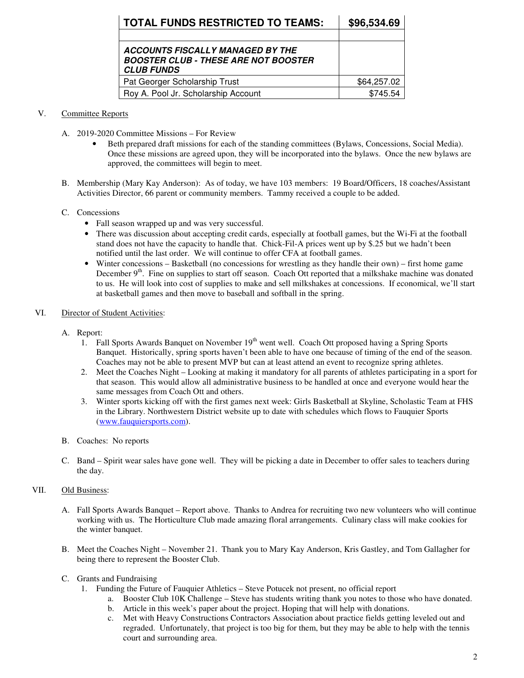| <b>TOTAL FUNDS RESTRICTED TO TEAMS:</b>                                                              | \$96,534.69 |
|------------------------------------------------------------------------------------------------------|-------------|
|                                                                                                      |             |
| ACCOUNTS FISCALLY MANAGED BY THE<br><b>BOOSTER CLUB - THESE ARE NOT BOOSTER</b><br><b>CLUB FUNDS</b> |             |
| Pat Georger Scholarship Trust                                                                        | \$64,257.02 |
| Roy A. Pool Jr. Scholarship Account                                                                  | \$745.54    |

## V. Committee Reports

- A. 2019-2020 Committee Missions For Review
	- Beth prepared draft missions for each of the standing committees (Bylaws, Concessions, Social Media). Once these missions are agreed upon, they will be incorporated into the bylaws. Once the new bylaws are approved, the committees will begin to meet.
- B. Membership (Mary Kay Anderson): As of today, we have 103 members: 19 Board/Officers, 18 coaches/Assistant Activities Director, 66 parent or community members. Tammy received a couple to be added.

#### C. Concessions

- Fall season wrapped up and was very successful.
- There was discussion about accepting credit cards, especially at football games, but the Wi-Fi at the football stand does not have the capacity to handle that. Chick-Fil-A prices went up by \$.25 but we hadn't been notified until the last order. We will continue to offer CFA at football games.
- Winter concessions Basketball (no concessions for wrestling as they handle their own) first home game December 9<sup>th</sup>. Fine on supplies to start off season. Coach Ott reported that a milkshake machine was donated to us. He will look into cost of supplies to make and sell milkshakes at concessions. If economical, we'll start at basketball games and then move to baseball and softball in the spring.

#### VI. Director of Student Activities:

- A. Report:
	- 1. Fall Sports Awards Banquet on November 19<sup>th</sup> went well. Coach Ott proposed having a Spring Sports Banquet. Historically, spring sports haven't been able to have one because of timing of the end of the season. Coaches may not be able to present MVP but can at least attend an event to recognize spring athletes.
	- 2. Meet the Coaches Night Looking at making it mandatory for all parents of athletes participating in a sport for that season. This would allow all administrative business to be handled at once and everyone would hear the same messages from Coach Ott and others.
	- 3. Winter sports kicking off with the first games next week: Girls Basketball at Skyline, Scholastic Team at FHS in the Library. Northwestern District website up to date with schedules which flows to Fauquier Sports (www.fauquiersports.com).
- B. Coaches: No reports
- C. Band Spirit wear sales have gone well. They will be picking a date in December to offer sales to teachers during the day.

## VII. Old Business:

- A. Fall Sports Awards Banquet Report above. Thanks to Andrea for recruiting two new volunteers who will continue working with us. The Horticulture Club made amazing floral arrangements. Culinary class will make cookies for the winter banquet.
- B. Meet the Coaches Night November 21. Thank you to Mary Kay Anderson, Kris Gastley, and Tom Gallagher for being there to represent the Booster Club.
- C. Grants and Fundraising
	- 1. Funding the Future of Fauquier Athletics Steve Potucek not present, no official report
		- a. Booster Club 10K Challenge Steve has students writing thank you notes to those who have donated.
		- b. Article in this week's paper about the project. Hoping that will help with donations.
		- c. Met with Heavy Constructions Contractors Association about practice fields getting leveled out and regraded. Unfortunately, that project is too big for them, but they may be able to help with the tennis court and surrounding area.